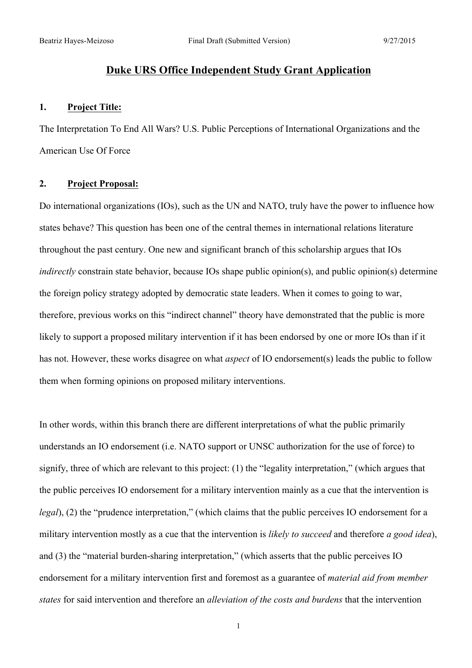### **Duke URS Office Independent Study Grant Application**

#### **1. Project Title:**

The Interpretation To End All Wars? U.S. Public Perceptions of International Organizations and the American Use Of Force

## **2. Project Proposal:**

Do international organizations (IOs), such as the UN and NATO, truly have the power to influence how states behave? This question has been one of the central themes in international relations literature throughout the past century. One new and significant branch of this scholarship argues that IOs *indirectly* constrain state behavior, because IOs shape public opinion(s), and public opinion(s) determine the foreign policy strategy adopted by democratic state leaders. When it comes to going to war, therefore, previous works on this "indirect channel" theory have demonstrated that the public is more likely to support a proposed military intervention if it has been endorsed by one or more IOs than if it has not. However, these works disagree on what *aspect* of IO endorsement(s) leads the public to follow them when forming opinions on proposed military interventions.

In other words, within this branch there are different interpretations of what the public primarily understands an IO endorsement (i.e. NATO support or UNSC authorization for the use of force) to signify, three of which are relevant to this project: (1) the "legality interpretation," (which argues that the public perceives IO endorsement for a military intervention mainly as a cue that the intervention is *legal*), (2) the "prudence interpretation," (which claims that the public perceives IO endorsement for a military intervention mostly as a cue that the intervention is *likely to succeed* and therefore *a good idea*), and (3) the "material burden-sharing interpretation," (which asserts that the public perceives IO endorsement for a military intervention first and foremost as a guarantee of *material aid from member states* for said intervention and therefore an *alleviation of the costs and burdens* that the intervention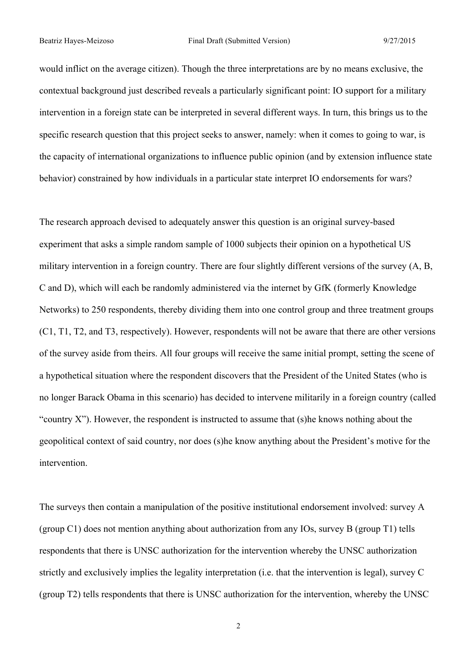would inflict on the average citizen). Though the three interpretations are by no means exclusive, the contextual background just described reveals a particularly significant point: IO support for a military intervention in a foreign state can be interpreted in several different ways. In turn, this brings us to the specific research question that this project seeks to answer, namely: when it comes to going to war, is the capacity of international organizations to influence public opinion (and by extension influence state behavior) constrained by how individuals in a particular state interpret IO endorsements for wars?

The research approach devised to adequately answer this question is an original survey-based experiment that asks a simple random sample of 1000 subjects their opinion on a hypothetical US military intervention in a foreign country. There are four slightly different versions of the survey (A, B, C and D), which will each be randomly administered via the internet by GfK (formerly Knowledge Networks) to 250 respondents, thereby dividing them into one control group and three treatment groups (C1, T1, T2, and T3, respectively). However, respondents will not be aware that there are other versions of the survey aside from theirs. All four groups will receive the same initial prompt, setting the scene of a hypothetical situation where the respondent discovers that the President of the United States (who is no longer Barack Obama in this scenario) has decided to intervene militarily in a foreign country (called "country  $X$ "). However, the respondent is instructed to assume that (s) he knows nothing about the geopolitical context of said country, nor does (s)he know anything about the President's motive for the intervention.

The surveys then contain a manipulation of the positive institutional endorsement involved: survey A (group C1) does not mention anything about authorization from any IOs, survey B (group T1) tells respondents that there is UNSC authorization for the intervention whereby the UNSC authorization strictly and exclusively implies the legality interpretation (i.e. that the intervention is legal), survey C (group T2) tells respondents that there is UNSC authorization for the intervention, whereby the UNSC

2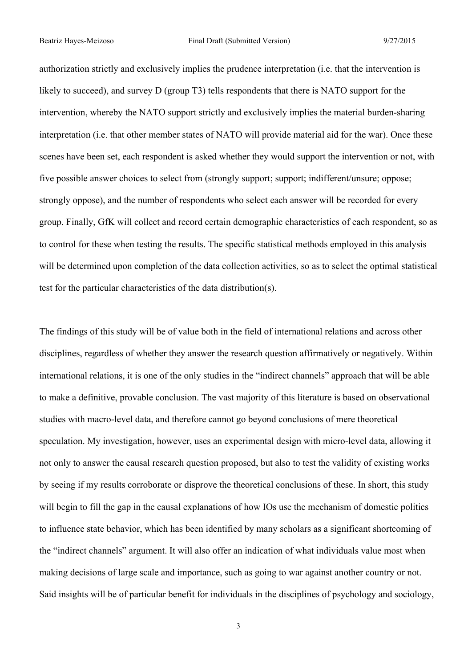authorization strictly and exclusively implies the prudence interpretation (i.e. that the intervention is likely to succeed), and survey D (group T3) tells respondents that there is NATO support for the intervention, whereby the NATO support strictly and exclusively implies the material burden-sharing interpretation (i.e. that other member states of NATO will provide material aid for the war). Once these scenes have been set, each respondent is asked whether they would support the intervention or not, with five possible answer choices to select from (strongly support; support; indifferent/unsure; oppose; strongly oppose), and the number of respondents who select each answer will be recorded for every group. Finally, GfK will collect and record certain demographic characteristics of each respondent, so as to control for these when testing the results. The specific statistical methods employed in this analysis will be determined upon completion of the data collection activities, so as to select the optimal statistical test for the particular characteristics of the data distribution(s).

The findings of this study will be of value both in the field of international relations and across other disciplines, regardless of whether they answer the research question affirmatively or negatively. Within international relations, it is one of the only studies in the "indirect channels" approach that will be able to make a definitive, provable conclusion. The vast majority of this literature is based on observational studies with macro-level data, and therefore cannot go beyond conclusions of mere theoretical speculation. My investigation, however, uses an experimental design with micro-level data, allowing it not only to answer the causal research question proposed, but also to test the validity of existing works by seeing if my results corroborate or disprove the theoretical conclusions of these. In short, this study will begin to fill the gap in the causal explanations of how IOs use the mechanism of domestic politics to influence state behavior, which has been identified by many scholars as a significant shortcoming of the "indirect channels" argument. It will also offer an indication of what individuals value most when making decisions of large scale and importance, such as going to war against another country or not. Said insights will be of particular benefit for individuals in the disciplines of psychology and sociology,

3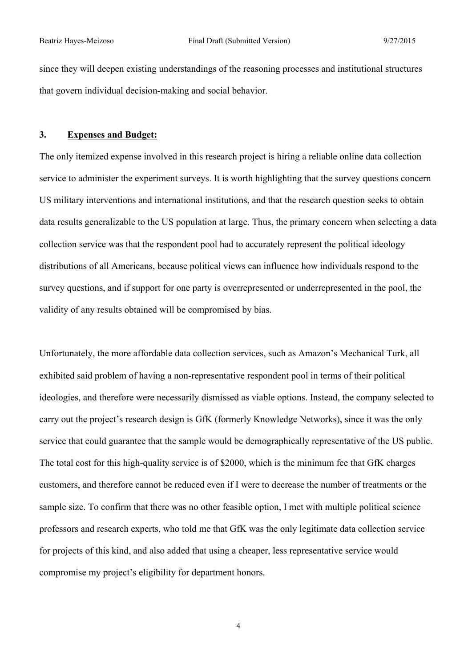since they will deepen existing understandings of the reasoning processes and institutional structures that govern individual decision-making and social behavior.

#### **3. Expenses and Budget:**

The only itemized expense involved in this research project is hiring a reliable online data collection service to administer the experiment surveys. It is worth highlighting that the survey questions concern US military interventions and international institutions, and that the research question seeks to obtain data results generalizable to the US population at large. Thus, the primary concern when selecting a data collection service was that the respondent pool had to accurately represent the political ideology distributions of all Americans, because political views can influence how individuals respond to the survey questions, and if support for one party is overrepresented or underrepresented in the pool, the validity of any results obtained will be compromised by bias.

Unfortunately, the more affordable data collection services, such as Amazon's Mechanical Turk, all exhibited said problem of having a non-representative respondent pool in terms of their political ideologies, and therefore were necessarily dismissed as viable options. Instead, the company selected to carry out the project's research design is GfK (formerly Knowledge Networks), since it was the only service that could guarantee that the sample would be demographically representative of the US public. The total cost for this high-quality service is of \$2000, which is the minimum fee that GfK charges customers, and therefore cannot be reduced even if I were to decrease the number of treatments or the sample size. To confirm that there was no other feasible option, I met with multiple political science professors and research experts, who told me that GfK was the only legitimate data collection service for projects of this kind, and also added that using a cheaper, less representative service would compromise my project's eligibility for department honors.

4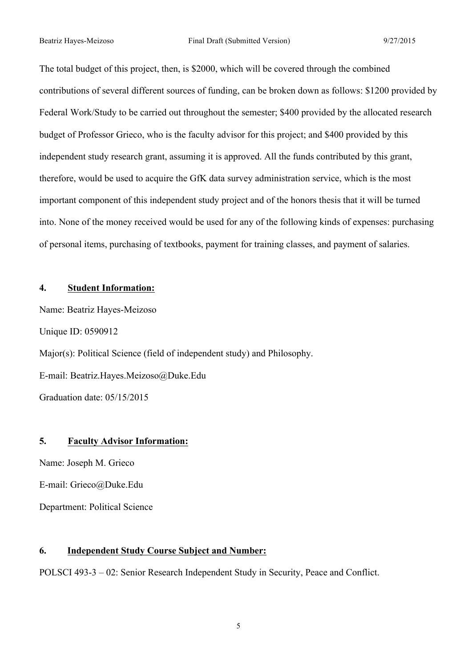The total budget of this project, then, is \$2000, which will be covered through the combined contributions of several different sources of funding, can be broken down as follows: \$1200 provided by Federal Work/Study to be carried out throughout the semester; \$400 provided by the allocated research budget of Professor Grieco, who is the faculty advisor for this project; and \$400 provided by this independent study research grant, assuming it is approved. All the funds contributed by this grant, therefore, would be used to acquire the GfK data survey administration service, which is the most important component of this independent study project and of the honors thesis that it will be turned into. None of the money received would be used for any of the following kinds of expenses: purchasing of personal items, purchasing of textbooks, payment for training classes, and payment of salaries.

#### **4. Student Information:**

Name: Beatriz Hayes-Meizoso Unique ID: 0590912 Major(s): Political Science (field of independent study) and Philosophy. E-mail: Beatriz.Hayes.Meizoso@Duke.Edu Graduation date: 05/15/2015

### **5. Faculty Advisor Information:**

Name: Joseph M. Grieco E-mail: Grieco@Duke.Edu Department: Political Science

## **6. Independent Study Course Subject and Number:**

POLSCI 493-3 – 02: Senior Research Independent Study in Security, Peace and Conflict.